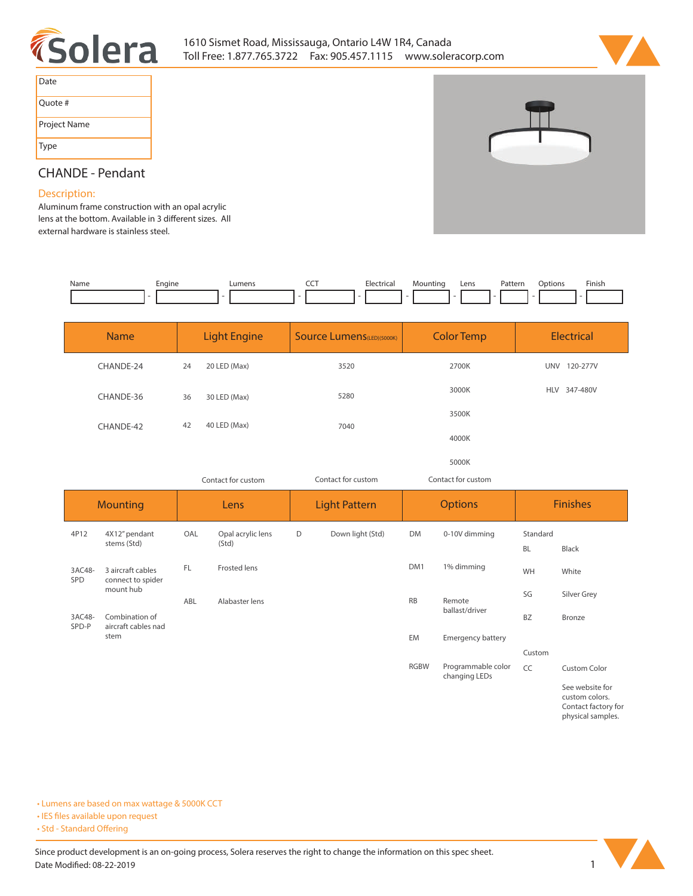



| Date         |
|--------------|
| Quote #      |
| Project Name |
| Type         |



## **CHANDE - Pendant**

## **Description:**

**Aluminum frame construction with an opal acrylic**  lens at the bottom. Available in 3 different sizes. All **external hardware is stainless steel.** 

| Name | cngine | 11ma <sub>n</sub> | --- | −ler' | n | Lens | Pattern<br>. | otions' | <b>Finish</b> |
|------|--------|-------------------|-----|-------|---|------|--------------|---------|---------------|
|      |        |                   |     |       |   |      |              |         |               |

| <b>Name</b> | <b>Light Engine</b> |              | <b>Source Lumens</b> (LED)(5000K) | <b>Color Temp</b> | <b>Electrical</b>      |  |  |
|-------------|---------------------|--------------|-----------------------------------|-------------------|------------------------|--|--|
| CHANDE-24   | 24                  | 20 LED (Max) | 3520                              | 2700K             | 120-277V<br><b>UNV</b> |  |  |
| CHANDE-36   | 36                  | 30 LED (Max) | 5280                              | 3000K             | 347-480V<br><b>HLV</b> |  |  |
| CHANDE-42   | 42                  | 40 LED (Max) | 7040                              | 3500K             |                        |  |  |
|             |                     |              |                                   | 4000K             |                        |  |  |
|             |                     |              |                                   | 5000K             |                        |  |  |

| Contact for custom   |                                                     |      |                            | Contact for custom<br>Contact for custom |                  |                |                                     |                       |                       |
|----------------------|-----------------------------------------------------|------|----------------------------|------------------------------------------|------------------|----------------|-------------------------------------|-----------------------|-----------------------|
| <b>Mounting</b>      |                                                     | Lens |                            | <b>Light Pattern</b>                     |                  | <b>Options</b> |                                     | <b>Finishes</b>       |                       |
| 4P12                 | 4X12" pendant<br>stems (Std)                        | OAL  | Opal acrylic lens<br>(Std) | D                                        | Down light (Std) | <b>DM</b>      | 0-10V dimming                       | Standard<br><b>BL</b> | Black                 |
| 3AC48-<br><b>SPD</b> | 3 aircraft cables<br>connect to spider<br>mount hub | FL   | <b>Frosted lens</b>        |                                          |                  | DM1            | 1% dimming                          | WH                    | White                 |
| 3AC48-               | Combination of                                      | ABL  | Alabaster lens             |                                          |                  | <b>RB</b>      | Remote<br>ballast/driver            | SG<br><b>BZ</b>       | Silver Grey<br>Bronze |
| SPD-P                | aircraft cables nad<br>stem                         |      |                            |                                          |                  | <b>EM</b>      | <b>Emergency battery</b>            |                       |                       |
|                      |                                                     |      |                            |                                          |                  |                |                                     | Custom                |                       |
|                      |                                                     |      |                            |                                          |                  | <b>RGBW</b>    | Programmable color<br>changing LEDs | CC                    | <b>Custom Color</b>   |

**See website for custom colors. Contact factory for physical samples.** 

**• Lumens are based on max wattage & 5000K CCT**

**• IES files available upon request** 

• Std - Standard Offering

Since product development is an on-going process, Solera reserves the right to change the information on this spec sheet. **Date Modified: 08-22-2019** 1